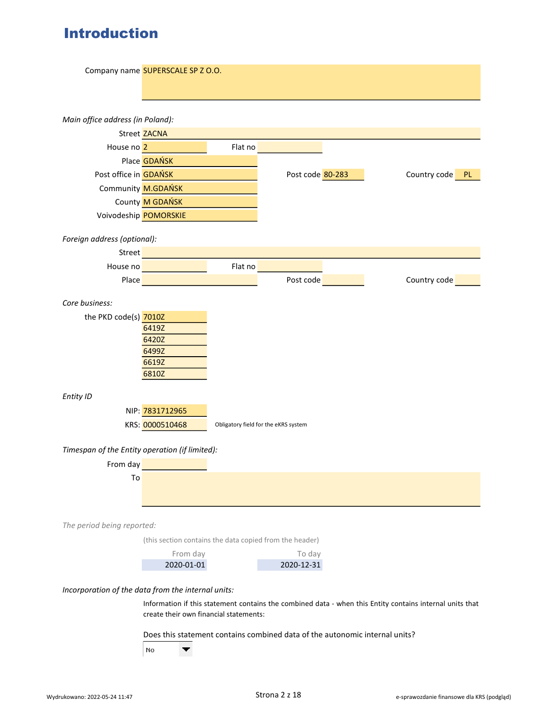# Introduction

|                                                    | Company name SUPERSCALE SP Z O.O.                                           |         |                                      |                                                                                                          |
|----------------------------------------------------|-----------------------------------------------------------------------------|---------|--------------------------------------|----------------------------------------------------------------------------------------------------------|
|                                                    |                                                                             |         |                                      |                                                                                                          |
| Main office address (in Poland):                   |                                                                             |         |                                      |                                                                                                          |
|                                                    | Street ZACNA                                                                |         |                                      |                                                                                                          |
| House no 2                                         |                                                                             | Flat no |                                      |                                                                                                          |
|                                                    | Place <b>GDAŃSK</b>                                                         |         |                                      |                                                                                                          |
| Post office in <b>GDAŃSK</b>                       |                                                                             |         | Post code 80-283                     | Country code PL                                                                                          |
|                                                    | Community M.GDAŃSK                                                          |         |                                      |                                                                                                          |
|                                                    | County M GDAŃSK                                                             |         |                                      |                                                                                                          |
|                                                    | Voivodeship POMORSKIE                                                       |         |                                      |                                                                                                          |
| Foreign address (optional):                        |                                                                             |         |                                      |                                                                                                          |
| <b>Street</b>                                      |                                                                             |         |                                      |                                                                                                          |
|                                                    | House no                                                                    | Flat no |                                      |                                                                                                          |
| Place                                              |                                                                             |         | Post code                            | Country code                                                                                             |
|                                                    |                                                                             |         |                                      |                                                                                                          |
| Core business:                                     |                                                                             |         |                                      |                                                                                                          |
| the PKD code(s) 7010Z                              |                                                                             |         |                                      |                                                                                                          |
|                                                    | 6419Z                                                                       |         |                                      |                                                                                                          |
|                                                    | 6420Z                                                                       |         |                                      |                                                                                                          |
|                                                    | 6499Z<br>6619Z                                                              |         |                                      |                                                                                                          |
|                                                    | 6810Z                                                                       |         |                                      |                                                                                                          |
|                                                    |                                                                             |         |                                      |                                                                                                          |
| Entity ID                                          |                                                                             |         |                                      |                                                                                                          |
|                                                    | NIP: 7831712965                                                             |         |                                      |                                                                                                          |
|                                                    | KRS: 0000510468                                                             |         | Obligatory field for the eKRS system |                                                                                                          |
|                                                    |                                                                             |         |                                      |                                                                                                          |
| Timespan of the Entity operation (if limited):     |                                                                             |         |                                      |                                                                                                          |
| From day                                           |                                                                             |         |                                      |                                                                                                          |
| To                                                 |                                                                             |         |                                      |                                                                                                          |
|                                                    |                                                                             |         |                                      |                                                                                                          |
|                                                    |                                                                             |         |                                      |                                                                                                          |
| The period being reported:                         |                                                                             |         |                                      |                                                                                                          |
|                                                    | (this section contains the data copied from the header)                     |         |                                      |                                                                                                          |
|                                                    | From day                                                                    |         | To day                               |                                                                                                          |
|                                                    | 2020-01-01                                                                  |         | 2020-12-31                           |                                                                                                          |
| Incorporation of the data from the internal units: |                                                                             |         |                                      |                                                                                                          |
|                                                    |                                                                             |         |                                      | Information if this statement contains the combined data - when this Entity contains internal units that |
|                                                    | create their own financial statements:                                      |         |                                      |                                                                                                          |
|                                                    |                                                                             |         |                                      |                                                                                                          |
|                                                    | Does this statement contains combined data of the autonomic internal units? |         |                                      |                                                                                                          |
|                                                    | No<br>▼                                                                     |         |                                      |                                                                                                          |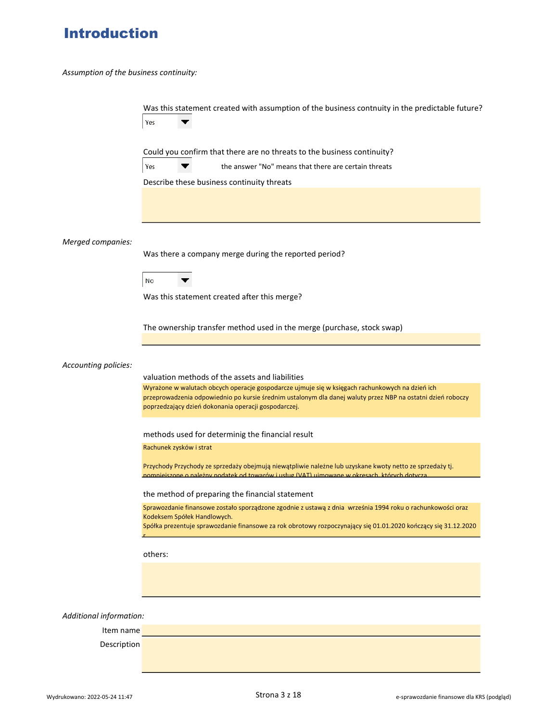# Introduction

Assumption of the business continuity:

|                         | Was this statement created with assumption of the business contnuity in the predictable future?<br>Yes                                                                                                   |
|-------------------------|----------------------------------------------------------------------------------------------------------------------------------------------------------------------------------------------------------|
|                         | Could you confirm that there are no threats to the business continuity?                                                                                                                                  |
|                         | Yes<br>the answer "No" means that there are certain threats                                                                                                                                              |
|                         | Describe these business continuity threats                                                                                                                                                               |
|                         |                                                                                                                                                                                                          |
| Merged companies:       | Was there a company merge during the reported period?                                                                                                                                                    |
|                         |                                                                                                                                                                                                          |
|                         | No                                                                                                                                                                                                       |
|                         | Was this statement created after this merge?                                                                                                                                                             |
|                         | The ownership transfer method used in the merge (purchase, stock swap)                                                                                                                                   |
| Accounting policies:    | valuation methods of the assets and liabilities<br>Wyrażone w walutach obcych operacje gospodarcze ujmuje się w księgach rachunkowych na dzień ich                                                       |
|                         | przeprowadzenia odpowiednio po kursie średnim ustalonym dla danej waluty przez NBP na ostatni dzień roboczy<br>poprzedzający dzień dokonania operacji gospodarczej.                                      |
|                         | methods used for determinig the financial result                                                                                                                                                         |
|                         | Rachunek zysków i strat                                                                                                                                                                                  |
|                         | Przychody Przychody ze sprzedaży obejmują niewątpliwie należne lub uzyskane kwoty netto ze sprzedaży tj.<br>pomniejszone o należny podatek od towarów i usług (VAT) ujmowane w okresach, których dotycza |
|                         | the method of preparing the financial statement                                                                                                                                                          |
|                         | Sprawozdanie finansowe zostało sporządzone zgodnie z ustawą z dnia września 1994 roku o rachunkowości oraz<br>Kodeksem Spółek Handlowych.                                                                |
|                         | Spółka prezentuje sprawozdanie finansowe za rok obrotowy rozpoczynający się 01.01.2020 kończący się 31.12.2020                                                                                           |
|                         | others:                                                                                                                                                                                                  |
|                         |                                                                                                                                                                                                          |
|                         |                                                                                                                                                                                                          |
| Additional information: |                                                                                                                                                                                                          |
| Item name               |                                                                                                                                                                                                          |
| Description             |                                                                                                                                                                                                          |
|                         |                                                                                                                                                                                                          |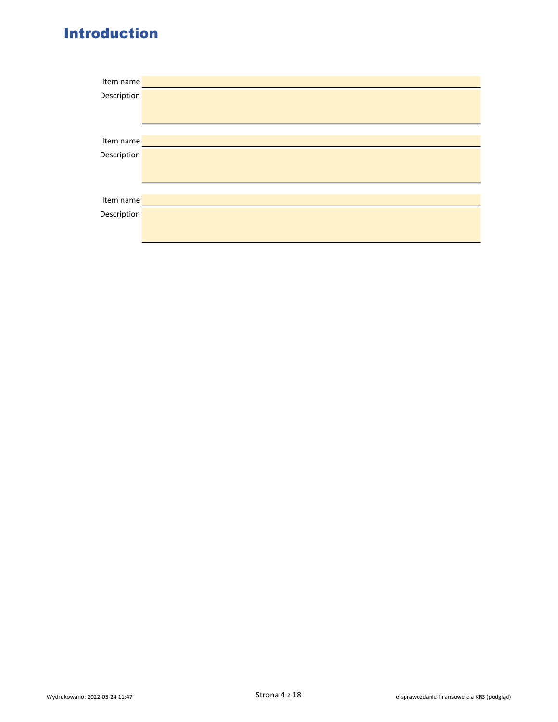# Introduction

| Item name   |  |
|-------------|--|
| Description |  |
|             |  |
|             |  |
|             |  |
| Item name   |  |
| Description |  |
|             |  |
|             |  |
|             |  |
| Item name   |  |
| Description |  |
|             |  |
|             |  |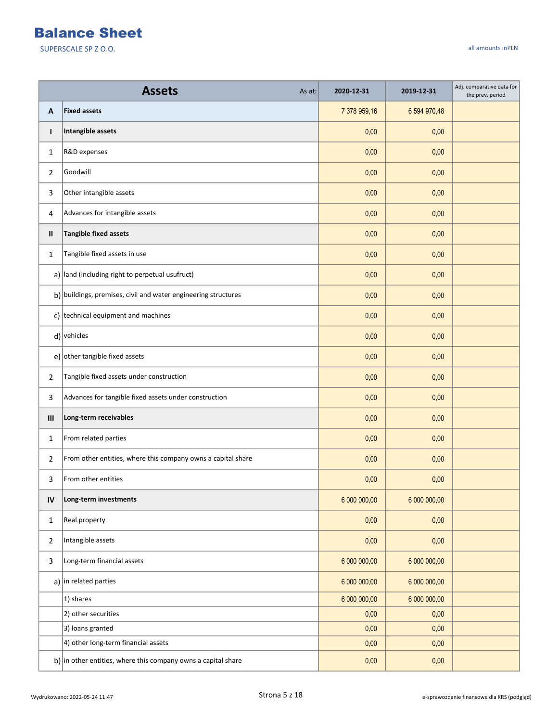|                | <b>Assets</b><br>As at:                                                    | 2020-12-31   | 2019-12-31   | Adj. comparative data for<br>the prev. period |
|----------------|----------------------------------------------------------------------------|--------------|--------------|-----------------------------------------------|
| Α              | <b>Fixed assets</b>                                                        | 7 378 959,16 | 6 594 970,48 |                                               |
| T              | Intangible assets                                                          | 0,00         | 0,00         |                                               |
| $\mathbf{1}$   | R&D expenses                                                               | 0,00         | 0,00         |                                               |
| 2              | Goodwill                                                                   | 0,00         | 0,00         |                                               |
| 3              | Other intangible assets                                                    | 0,00         | 0,00         |                                               |
| 4              | Advances for intangible assets                                             | 0,00         | 0,00         |                                               |
| Ш              | <b>Tangible fixed assets</b>                                               | 0,00         | 0,00         |                                               |
| $\mathbf{1}$   | Tangible fixed assets in use                                               | 0,00         | 0,00         |                                               |
|                | $a)$ land (including right to perpetual usufruct)                          | 0,00         | 0,00         |                                               |
|                | $\mathbf{b}$ ) buildings, premises, civil and water engineering structures | 0,00         | 0,00         |                                               |
|                | c) technical equipment and machines                                        | 0,00         | 0,00         |                                               |
|                | $d$ ) vehicles                                                             | 0,00         | 0,00         |                                               |
|                | e) other tangible fixed assets                                             | 0,00         | 0,00         |                                               |
| $\overline{2}$ | Tangible fixed assets under construction                                   | 0,00         | 0,00         |                                               |
| 3              | Advances for tangible fixed assets under construction                      | 0,00         | 0,00         |                                               |
| III            | Long-term receivables                                                      | 0,00         | 0,00         |                                               |
| $\mathbf{1}$   | From related parties                                                       | 0,00         | 0,00         |                                               |
| 2              | From other entities, where this company owns a capital share               | 0,00         | 0,00         |                                               |
| 3              | From other entities                                                        | 0,00         | 0,00         |                                               |
| IV             | Long-term investments                                                      | 6 000 000,00 | 6 000 000,00 |                                               |
| $\mathbf{1}$   | Real property                                                              | 0,00         | 0,00         |                                               |
| $\overline{2}$ | Intangible assets                                                          | 0,00         | 0,00         |                                               |
| 3              | Long-term financial assets                                                 | 6 000 000,00 | 6 000 000,00 |                                               |
|                | a) in related parties                                                      | 6 000 000,00 | 6 000 000,00 |                                               |
|                | 1) shares                                                                  | 6 000 000,00 | 6 000 000,00 |                                               |
|                | 2) other securities                                                        | 0,00         | 0,00         |                                               |
|                | 3) loans granted                                                           | 0,00         | 0,00         |                                               |
|                | 4) other long-term financial assets                                        | 0,00         | 0,00         |                                               |
|                | b) in other entities, where this company owns a capital share              | 0,00         | 0,00         |                                               |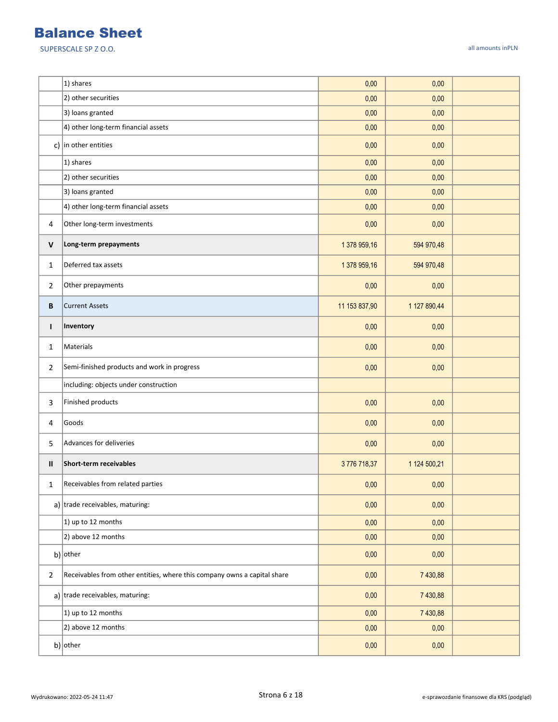|                | 1) shares                                                                | 0,00          | 0,00         |  |
|----------------|--------------------------------------------------------------------------|---------------|--------------|--|
|                | 2) other securities                                                      | 0,00          | 0,00         |  |
|                | 3) loans granted                                                         | 0,00          | 0,00         |  |
|                | 4) other long-term financial assets                                      | 0,00          | 0,00         |  |
|                | c) in other entities                                                     | 0,00          | 0,00         |  |
|                | 1) shares                                                                | 0,00          | 0,00         |  |
|                | 2) other securities                                                      | 0,00          | 0,00         |  |
|                | 3) loans granted                                                         | 0,00          | 0,00         |  |
|                | 4) other long-term financial assets                                      | 0,00          | 0,00         |  |
| 4              | Other long-term investments                                              | 0,00          | 0,00         |  |
| $\mathsf{V}$   | Long-term prepayments                                                    | 1 378 959,16  | 594 970,48   |  |
| $\mathbf{1}$   | Deferred tax assets                                                      | 1 378 959,16  | 594 970,48   |  |
| 2              | Other prepayments                                                        | 0,00          | 0,00         |  |
| В              | <b>Current Assets</b>                                                    | 11 153 837,90 | 1 127 890,44 |  |
| $\mathbf{I}$   | Inventory                                                                | 0,00          | 0,00         |  |
| 1              | Materials                                                                | 0,00          | 0,00         |  |
| $\overline{2}$ | Semi-finished products and work in progress                              | 0,00          | 0,00         |  |
|                | including: objects under construction                                    |               |              |  |
| 3              | Finished products                                                        | 0,00          | 0,00         |  |
| 4              | Goods                                                                    | 0,00          | 0,00         |  |
| 5              | Advances for deliveries                                                  | 0,00          | 0,00         |  |
| Ш              | Short-term receivables                                                   | 3776718,37    | 1 124 500,21 |  |
| 1              | Receivables from related parties                                         | 0,00          | 0,00         |  |
|                | a) trade receivables, maturing:                                          | 0,00          | 0,00         |  |
|                | 1) up to 12 months                                                       | 0,00          | 0,00         |  |
|                | 2) above 12 months                                                       | 0,00          | 0,00         |  |
|                | $b)$ other                                                               | 0,00          | 0,00         |  |
| $\overline{2}$ | Receivables from other entities, where this company owns a capital share | 0,00          | 7 430,88     |  |
|                | a) trade receivables, maturing:                                          | 0,00          | 7 430,88     |  |
|                | 1) up to 12 months                                                       | 0,00          | 7 430,88     |  |
|                | 2) above 12 months                                                       | 0,00          | 0,00         |  |
|                | b) other                                                                 | 0,00          | 0,00         |  |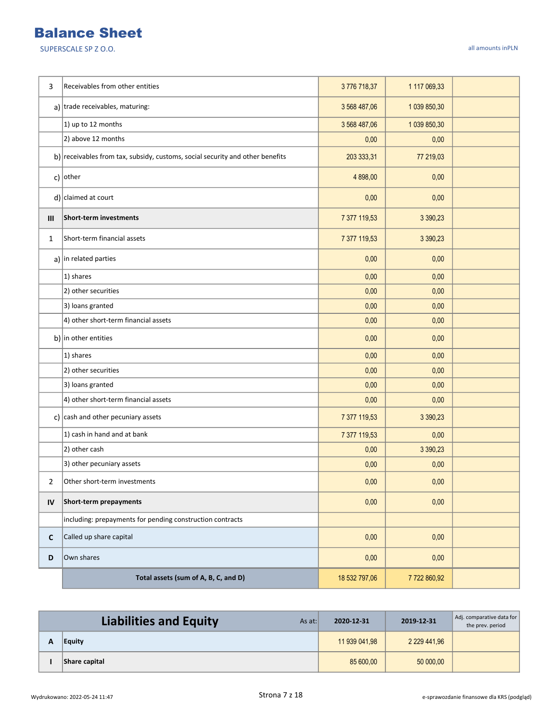| 3           | Receivables from other entities                                               | 3776718,37    | 1 117 069,33 |  |
|-------------|-------------------------------------------------------------------------------|---------------|--------------|--|
|             | a) trade receivables, maturing:                                               | 3 568 487,06  | 1 039 850,30 |  |
|             | 1) up to 12 months                                                            | 3 568 487,06  | 1 039 850,30 |  |
|             | 2) above 12 months                                                            | 0,00          | 0,00         |  |
|             | b) receivables from tax, subsidy, customs, social security and other benefits | 203 333,31    | 77 219,03    |  |
|             | c) other                                                                      | 4 898,00      | 0,00         |  |
|             | $d$ ) claimed at court                                                        | 0,00          | 0,00         |  |
| III         | Short-term investments                                                        | 7 377 119,53  | 3 390,23     |  |
| 1           | Short-term financial assets                                                   | 7 377 119,53  | 3 390,23     |  |
|             | $a)$ in related parties                                                       | 0,00          | 0,00         |  |
|             | 1) shares                                                                     | 0,00          | 0,00         |  |
|             | 2) other securities                                                           | 0,00          | 0,00         |  |
|             | 3) loans granted                                                              | 0,00          | 0,00         |  |
|             | 4) other short-term financial assets                                          | 0,00          | 0,00         |  |
|             | b) in other entities                                                          | 0,00          | 0,00         |  |
|             | 1) shares                                                                     | 0,00          | 0,00         |  |
|             | 2) other securities                                                           | 0,00          | 0,00         |  |
|             | 3) loans granted                                                              | 0,00          | 0,00         |  |
|             | 4) other short-term financial assets                                          | 0,00          | 0,00         |  |
|             | c) $\vert$ cash and other pecuniary assets                                    | 7 377 119,53  | 3 3 9 0, 2 3 |  |
|             | 1) cash in hand and at bank                                                   | 7 377 119,53  | 0,00         |  |
|             | 2) other cash                                                                 | 0,00          | 3 390,23     |  |
|             | 3) other pecuniary assets                                                     | 0,00          | 0,00         |  |
| 2           | Other short-term investments                                                  | 0,00          | 0,00         |  |
| IV          | Short-term prepayments                                                        | 0,00          | 0,00         |  |
|             | including: prepayments for pending construction contracts                     |               |              |  |
| $\mathbf c$ | Called up share capital                                                       | 0,00          | 0,00         |  |
| D           | Own shares                                                                    | 0,00          | 0,00         |  |
|             | Total assets (sum of A, B, C, and D)                                          | 18 532 797,06 | 7722860,92   |  |

| Liabilities and Equity<br>As at: | 2020-12-31    | 2019-12-31        | Adj. comparative data for<br>the prev. period |
|----------------------------------|---------------|-------------------|-----------------------------------------------|
| Equity                           | 11 939 041.98 | 2 2 2 9 4 4 1 9 6 |                                               |
| Share capital                    | 85 600.00     | 50 000,00         |                                               |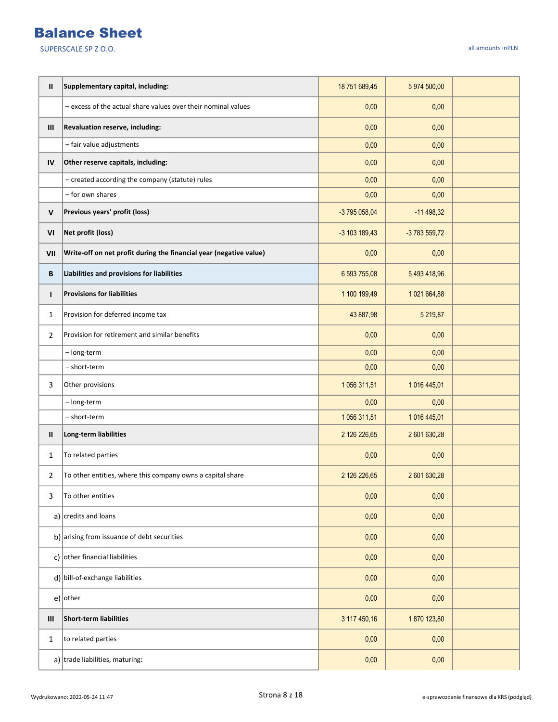| Ш              | Supplementary capital, including:                                  | 18 751 689,45 | 5 974 500,00  |  |
|----------------|--------------------------------------------------------------------|---------------|---------------|--|
|                | - excess of the actual share values over their nominal values      | 0,00          | 0,00          |  |
| Ш              | Revaluation reserve, including:                                    | 0,00          | 0,00          |  |
|                | - fair value adjustments                                           | 0,00          | 0.00          |  |
| IV             | Other reserve capitals, including:                                 | 0,00          | 0,00          |  |
|                | - created according the company (statute) rules                    | 0,00          | 0,00          |  |
|                | - for own shares                                                   | 0,00          | 0,00          |  |
| V              | Previous years' profit (loss)                                      | -3 795 058,04 | $-11498,32$   |  |
| VI             | Net profit (loss)                                                  | -3 103 189,43 | -3 783 559,72 |  |
| VII            | Write-off on net profit during the financial year (negative value) | 0,00          | 0,00          |  |
| B              | Liabilities and provisions for liabilities                         | 6 593 755,08  | 5 493 418,96  |  |
| п              | <b>Provisions for liabilities</b>                                  | 1 100 199,49  | 1 021 664,88  |  |
| $\mathbf{1}$   | Provision for deferred income tax                                  | 43 887,98     | 5 219,87      |  |
| $\overline{2}$ | Provision for retirement and similar benefits                      | 0,00          | 0,00          |  |
|                | - long-term                                                        | 0,00          | 0.00          |  |
|                | - short-term                                                       | 0,00          | 0,00          |  |
| 3              | Other provisions                                                   | 1 056 311,51  | 1 016 445,01  |  |
|                | - long-term                                                        | 0,00          | 0,00          |  |
|                | - short-term                                                       | 1056 311,51   | 1 016 445,01  |  |
| Ш              | Long-term liabilities                                              | 2 126 226,65  | 2 601 630,28  |  |
| 1              | To related parties                                                 | 0,00          | 0,00          |  |
| 2              | To other entities, where this company owns a capital share         | 2 126 226,65  | 2 601 630,28  |  |
| 3              | To other entities                                                  | 0,00          | 0,00          |  |
|                | a) $ {\rm credits}$ and loans                                      | 0,00          | 0,00          |  |
|                | b) arising from issuance of debt securities                        | 0,00          | 0,00          |  |
|                | c) other financial liabilities                                     | 0,00          | 0,00          |  |
|                | $d$ ) bill-of-exchange liabilities                                 | 0,00          | 0,00          |  |
|                | $e)$ other                                                         | 0,00          | 0,00          |  |
| Ш              | <b>Short-term liabilities</b>                                      | 3 117 450,16  | 1870 123,80   |  |
| 1              | to related parties                                                 | 0,00          | 0,00          |  |
|                | a) trade liabilities, maturing:                                    | 0,00          | 0,00          |  |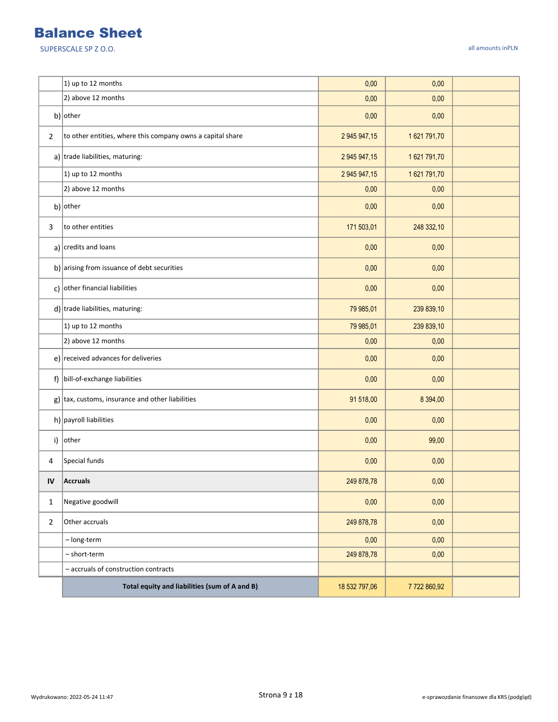|                | 1) up to 12 months                                          | 0,00          | 0,00        |  |
|----------------|-------------------------------------------------------------|---------------|-------------|--|
|                | 2) above 12 months                                          | 0,00          | 0,00        |  |
|                | b) other                                                    | 0,00          | 0,00        |  |
| $\overline{2}$ | to other entities, where this company owns a capital share  | 2 945 947,15  | 1621791,70  |  |
|                | a) trade liabilities, maturing:                             | 2 945 947,15  | 1621791,70  |  |
|                | 1) up to 12 months                                          | 2 945 947,15  | 1621791,70  |  |
|                | 2) above 12 months                                          | 0,00          | 0,00        |  |
|                | $b)$ other                                                  | 0,00          | 0,00        |  |
| 3              | to other entities                                           | 171 503,01    | 248 332,10  |  |
|                | a) $ {\text{credits}}$ and loans                            | 0,00          | 0,00        |  |
|                | b) arising from issuance of debt securities                 | 0,00          | 0,00        |  |
|                | c) other financial liabilities                              | 0,00          | 0,00        |  |
|                | $d$ ) trade liabilities, maturing:                          | 79 985,01     | 239 839,10  |  |
|                | 1) up to 12 months                                          | 79 985,01     | 239 839,10  |  |
|                | 2) above 12 months                                          | 0,00          | 0,00        |  |
|                | e) received advances for deliveries                         | 0,00          | 0,00        |  |
|                | f) bill-of-exchange liabilities                             | 0,00          | 0,00        |  |
|                | $g$ ) $\vert$ tax, customs, insurance and other liabilities | 91 518,00     | 8 3 9 4 ,00 |  |
|                | h) payroll liabilities                                      | 0,00          | 0,00        |  |
|                | i) other                                                    | 0,00          | 99,00       |  |
| 4              | Special funds                                               | 0,00          | 0,00        |  |
| IV             | <b>Accruals</b>                                             | 249 878,78    | 0,00        |  |
| $\mathbf{1}$   | Negative goodwill                                           | 0,00          | 0,00        |  |
| $\overline{2}$ | Other accruals                                              | 249 878,78    | 0,00        |  |
|                | - long-term                                                 | 0,00          | 0,00        |  |
|                | - short-term                                                | 249 878,78    | 0,00        |  |
|                | - accruals of construction contracts                        |               |             |  |
|                | Total equity and liabilities (sum of A and B)               | 18 532 797,06 | 7722860,92  |  |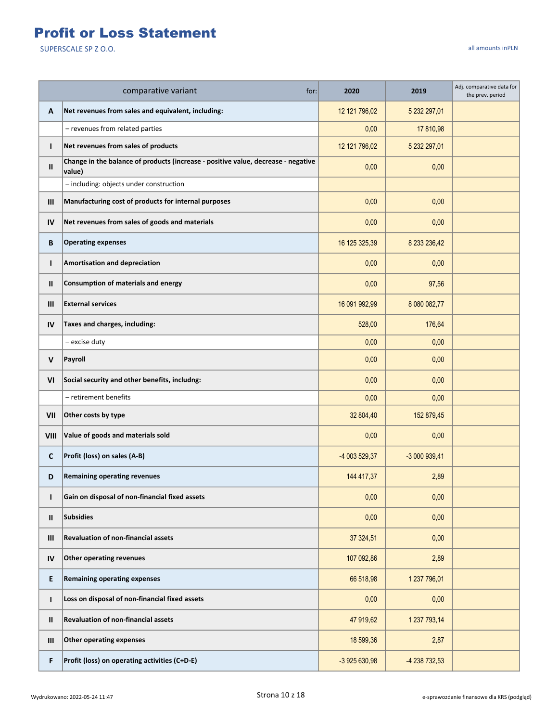## Profit or Loss Statement

|               | comparative variant<br>for:                                                                 | 2020          | 2019          | Adj. comparative data for<br>the prev. period |
|---------------|---------------------------------------------------------------------------------------------|---------------|---------------|-----------------------------------------------|
| Α             | Net revenues from sales and equivalent, including:                                          | 12 121 796,02 | 5 232 297,01  |                                               |
|               | - revenues from related parties                                                             | 0,00          | 17 810,98     |                                               |
| T             | Net revenues from sales of products                                                         | 12 121 796,02 | 5 232 297,01  |                                               |
| Ш             | Change in the balance of products (increase - positive value, decrease - negative<br>value) | 0,00          | 0,00          |                                               |
|               | - including: objects under construction                                                     |               |               |                                               |
| Ш             | Manufacturing cost of products for internal purposes                                        | 0,00          | 0,00          |                                               |
| IV            | Net revenues from sales of goods and materials                                              | 0,00          | 0,00          |                                               |
| В             | <b>Operating expenses</b>                                                                   | 16 125 325,39 | 8 233 236,42  |                                               |
| $\mathbf{I}$  | Amortisation and depreciation                                                               | 0,00          | 0,00          |                                               |
| Ш             | <b>Consumption of materials and energy</b>                                                  | 0,00          | 97,56         |                                               |
| Ш             | <b>External services</b>                                                                    | 16 091 992,99 | 8 080 082,77  |                                               |
| IV            | Taxes and charges, including:                                                               | 528,00        | 176,64        |                                               |
|               | - excise duty                                                                               | 0,00          | 0,00          |                                               |
| V             | Payroll                                                                                     | 0,00          | 0,00          |                                               |
| VI            | Social security and other benefits, includng:                                               | 0,00          | 0,00          |                                               |
|               | - retirement benefits                                                                       | 0,00          | 0,00          |                                               |
| VII           | Other costs by type                                                                         | 32 804,40     | 152 879,45    |                                               |
| VIII          | Value of goods and materials sold                                                           | 0,00          | 0,00          |                                               |
| C             | Profit (loss) on sales (A-B)                                                                | -4 003 529,37 | -3 000 939,41 |                                               |
| D             | <b>Remaining operating revenues</b>                                                         | 144 417,37    | 2,89          |                                               |
| т             | Gain on disposal of non-financial fixed assets                                              | 0,00          | 0,00          |                                               |
| Ш             | Subsidies                                                                                   | 0,00          | 0,00          |                                               |
| Ш             | <b>Revaluation of non-financial assets</b>                                                  | 37 324,51     | 0,00          |                                               |
| IV            | <b>Other operating revenues</b>                                                             | 107 092,86    | 2,89          |                                               |
| E             | <b>Remaining operating expenses</b>                                                         | 66 518,98     | 1 237 796,01  |                                               |
| $\mathbf{I}$  | Loss on disposal of non-financial fixed assets                                              | 0,00          | 0,00          |                                               |
| $\mathbf{II}$ | <b>Revaluation of non-financial assets</b>                                                  | 47 919,62     | 1 237 793,14  |                                               |
| Ш             | <b>Other operating expenses</b>                                                             | 18 599,36     | 2,87          |                                               |
| F             | Profit (loss) on operating activities (C+D-E)                                               | -3 925 630,98 | -4 238 732,53 |                                               |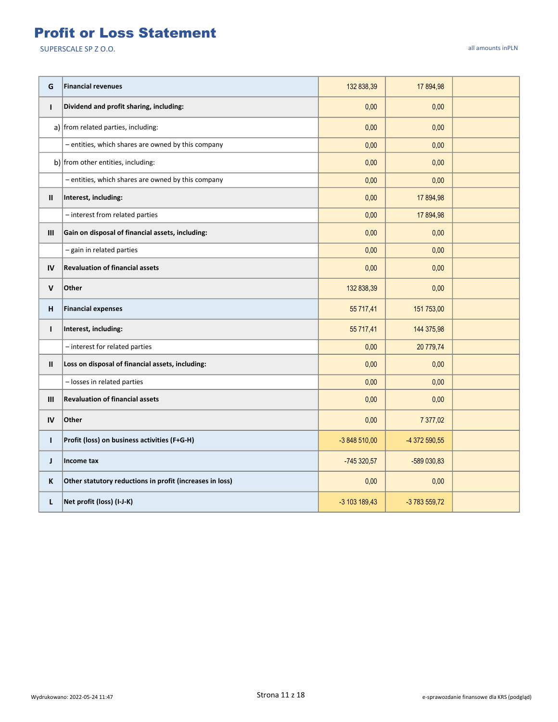#### Profit or Loss Statement

| G            | <b>Financial revenues</b>                                | 132 838,39    | 17 894,98     |  |
|--------------|----------------------------------------------------------|---------------|---------------|--|
| $\mathbf{I}$ | Dividend and profit sharing, including:                  | 0,00          | 0,00          |  |
|              | a) from related parties, including:                      | 0,00          | 0,00          |  |
|              | - entities, which shares are owned by this company       | 0,00          | 0,00          |  |
|              | b) from other entities, including:                       | 0,00          | 0,00          |  |
|              | - entities, which shares are owned by this company       | 0,00          | 0,00          |  |
| Ш            | Interest, including:                                     | 0,00          | 17 894,98     |  |
|              | - interest from related parties                          | 0,00          | 17 894,98     |  |
| III          | Gain on disposal of financial assets, including:         | 0,00          | 0,00          |  |
|              | - gain in related parties                                | 0,00          | 0,00          |  |
| IV           | <b>Revaluation of financial assets</b>                   | 0,00          | 0,00          |  |
| V            | Other                                                    | 132 838,39    | 0,00          |  |
| н            | <b>Financial expenses</b>                                | 55 717,41     | 151 753,00    |  |
| $\mathbf{I}$ | Interest, including:                                     | 55 717,41     | 144 375,98    |  |
|              | - interest for related parties                           | 0,00          | 20 779,74     |  |
| Ш            | Loss on disposal of financial assets, including:         | 0,00          | 0,00          |  |
|              | - losses in related parties                              | 0,00          | 0,00          |  |
| Ш            | <b>Revaluation of financial assets</b>                   | 0,00          | 0,00          |  |
| IV           | Other                                                    | 0,00          | 7 377,02      |  |
| $\mathbf{I}$ | Profit (loss) on business activities (F+G-H)             | -3 848 510,00 | -4 372 590,55 |  |
| J.           | Income tax                                               | -745 320,57   | -589 030,83   |  |
| K            | Other statutory reductions in profit (increases in loss) | 0,00          | 0,00          |  |
| L            | Net profit (loss) (I-J-K)                                | -3 103 189,43 | -3 783 559,72 |  |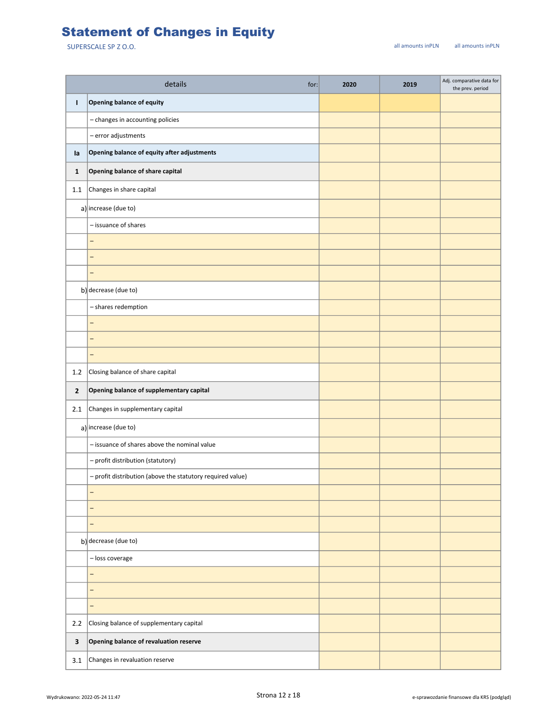## Statement of Changes in Equity

|                | details<br>for:                                            | 2020 | 2019 | Adj. comparative data for<br>the prev. period |
|----------------|------------------------------------------------------------|------|------|-----------------------------------------------|
| т              | Opening balance of equity                                  |      |      |                                               |
|                | - changes in accounting policies                           |      |      |                                               |
|                | $-$ error adjustments                                      |      |      |                                               |
| la             | Opening balance of equity after adjustments                |      |      |                                               |
| $\mathbf{1}$   | Opening balance of share capital                           |      |      |                                               |
| 1.1            | Changes in share capital                                   |      |      |                                               |
|                | a) increase (due to)                                       |      |      |                                               |
|                | - issuance of shares                                       |      |      |                                               |
|                | $\overline{\phantom{0}}$                                   |      |      |                                               |
|                | $\overline{a}$                                             |      |      |                                               |
|                | $\overline{\phantom{0}}$                                   |      |      |                                               |
|                | b) decrease (due to)                                       |      |      |                                               |
|                | - shares redemption                                        |      |      |                                               |
|                | -                                                          |      |      |                                               |
|                | $\overline{\phantom{0}}$                                   |      |      |                                               |
|                | $\overline{\phantom{0}}$                                   |      |      |                                               |
| 1.2            | Closing balance of share capital                           |      |      |                                               |
| $\overline{2}$ | Opening balance of supplementary capital                   |      |      |                                               |
| 2.1            | Changes in supplementary capital                           |      |      |                                               |
|                | $a$ ) increase (due to)                                    |      |      |                                               |
|                | - issuance of shares above the nominal value               |      |      |                                               |
|                | - profit distribution (statutory)                          |      |      |                                               |
|                | - profit distribution (above the statutory required value) |      |      |                                               |
|                | -                                                          |      |      |                                               |
|                | $\qquad \qquad -$                                          |      |      |                                               |
|                | $\overline{\phantom{0}}$                                   |      |      |                                               |
|                | b) decrease (due to)                                       |      |      |                                               |
|                | - loss coverage                                            |      |      |                                               |
|                | $\overline{\phantom{0}}$                                   |      |      |                                               |
|                | -                                                          |      |      |                                               |
|                | -                                                          |      |      |                                               |
| 2.2            | Closing balance of supplementary capital                   |      |      |                                               |
| $\mathbf{3}$   | Opening balance of revaluation reserve                     |      |      |                                               |
| 3.1            | Changes in revaluation reserve                             |      |      |                                               |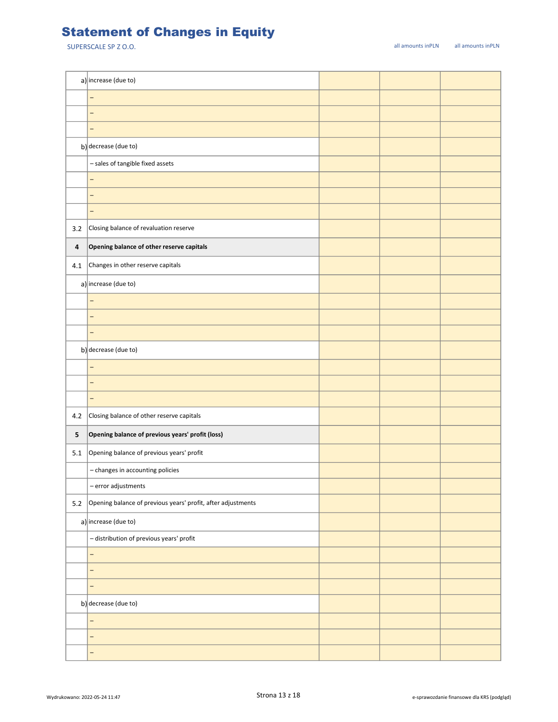## Statement of Changes in Equity

|         | a) increase (due to)                                         |  |  |
|---------|--------------------------------------------------------------|--|--|
|         | -                                                            |  |  |
|         | -                                                            |  |  |
|         | -                                                            |  |  |
|         | b) decrease (due to)                                         |  |  |
|         | - sales of tangible fixed assets                             |  |  |
|         | -                                                            |  |  |
|         | -                                                            |  |  |
|         | -                                                            |  |  |
| 3.2     | Closing balance of revaluation reserve                       |  |  |
| 4       | Opening balance of other reserve capitals                    |  |  |
| 4.1     | Changes in other reserve capitals                            |  |  |
|         | a) increase (due to)                                         |  |  |
|         | $\overline{\phantom{0}}$                                     |  |  |
|         | -                                                            |  |  |
|         | -                                                            |  |  |
|         | b) decrease (due to)                                         |  |  |
|         | -                                                            |  |  |
|         | -                                                            |  |  |
|         | -                                                            |  |  |
| 4.2     | Closing balance of other reserve capitals                    |  |  |
| 5       | Opening balance of previous years' profit (loss)             |  |  |
| 5.1     | Opening balance of previous years' profit                    |  |  |
|         | - changes in accounting policies                             |  |  |
|         | - error adjustments                                          |  |  |
| $5.2\,$ | Opening balance of previous years' profit, after adjustments |  |  |
|         | a) increase (due to)                                         |  |  |
|         | - distribution of previous years' profit                     |  |  |
|         | -                                                            |  |  |
|         | -                                                            |  |  |
|         | -                                                            |  |  |
|         | b) decrease (due to)                                         |  |  |
|         | -                                                            |  |  |
|         | —                                                            |  |  |
|         | -                                                            |  |  |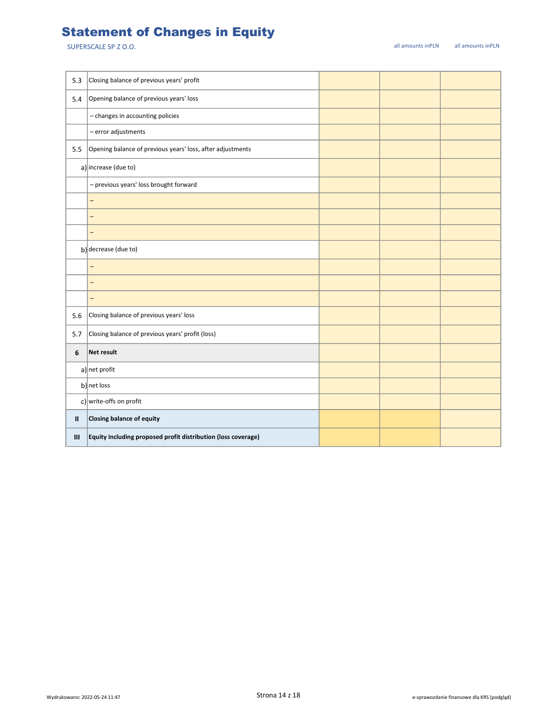## Statement of Changes in Equity

| 5.3          | Closing balance of previous years' profit                     |  |  |
|--------------|---------------------------------------------------------------|--|--|
| 5.4          | Opening balance of previous years' loss                       |  |  |
|              | - changes in accounting policies                              |  |  |
|              | - error adjustments                                           |  |  |
| 5.5          | Opening balance of previous years' loss, after adjustments    |  |  |
|              | a) increase (due to)                                          |  |  |
|              | - previous years' loss brought forward                        |  |  |
|              | -                                                             |  |  |
|              | $\overline{\phantom{0}}$                                      |  |  |
|              | -                                                             |  |  |
|              | b) decrease (due to)                                          |  |  |
|              | $\equiv$                                                      |  |  |
|              | -                                                             |  |  |
|              | -                                                             |  |  |
| 5.6          | Closing balance of previous years' loss                       |  |  |
| 5.7          | Closing balance of previous years' profit (loss)              |  |  |
| 6            | Net result                                                    |  |  |
|              | $a$ ] net profit                                              |  |  |
|              | b) net loss                                                   |  |  |
|              | c) write-offs on profit                                       |  |  |
| $\mathbf{I}$ | Closing balance of equity                                     |  |  |
| Ш            | Equity including proposed profit distribution (loss coverage) |  |  |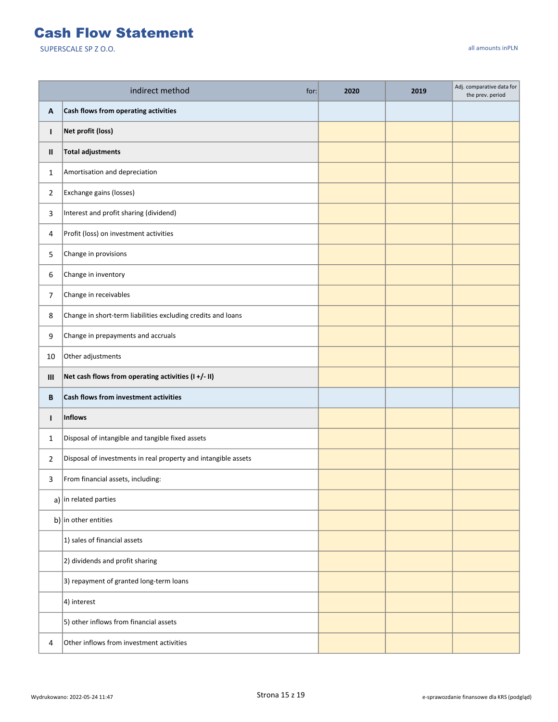#### Cash Flow Statement

|                | indirect method<br>for:                                        | 2020 | 2019 | Adj. comparative data for<br>the prev. period |
|----------------|----------------------------------------------------------------|------|------|-----------------------------------------------|
| Α              | Cash flows from operating activities                           |      |      |                                               |
| T              | Net profit (loss)                                              |      |      |                                               |
| Ш              | <b>Total adjustments</b>                                       |      |      |                                               |
| 1              | Amortisation and depreciation                                  |      |      |                                               |
| $\overline{2}$ | Exchange gains (losses)                                        |      |      |                                               |
| 3              | Interest and profit sharing (dividend)                         |      |      |                                               |
| 4              | Profit (loss) on investment activities                         |      |      |                                               |
| 5              | Change in provisions                                           |      |      |                                               |
| 6              | Change in inventory                                            |      |      |                                               |
| 7              | Change in receivables                                          |      |      |                                               |
| 8              | Change in short-term liabilities excluding credits and loans   |      |      |                                               |
| 9              | Change in prepayments and accruals                             |      |      |                                               |
| 10             | Other adjustments                                              |      |      |                                               |
| Ш              | Net cash flows from operating activities (I+/- II)             |      |      |                                               |
| B              | Cash flows from investment activities                          |      |      |                                               |
| $\mathbf{I}$   | <b>Inflows</b>                                                 |      |      |                                               |
| 1              | Disposal of intangible and tangible fixed assets               |      |      |                                               |
| $\overline{2}$ | Disposal of investments in real property and intangible assets |      |      |                                               |
| 3              | From financial assets, including:                              |      |      |                                               |
|                | a) in related parties                                          |      |      |                                               |
|                | b) in other entities                                           |      |      |                                               |
|                | 1) sales of financial assets                                   |      |      |                                               |
|                | 2) dividends and profit sharing                                |      |      |                                               |
|                | 3) repayment of granted long-term loans                        |      |      |                                               |
|                | 4) interest                                                    |      |      |                                               |
|                | 5) other inflows from financial assets                         |      |      |                                               |
| 4              | Other inflows from investment activities                       |      |      |                                               |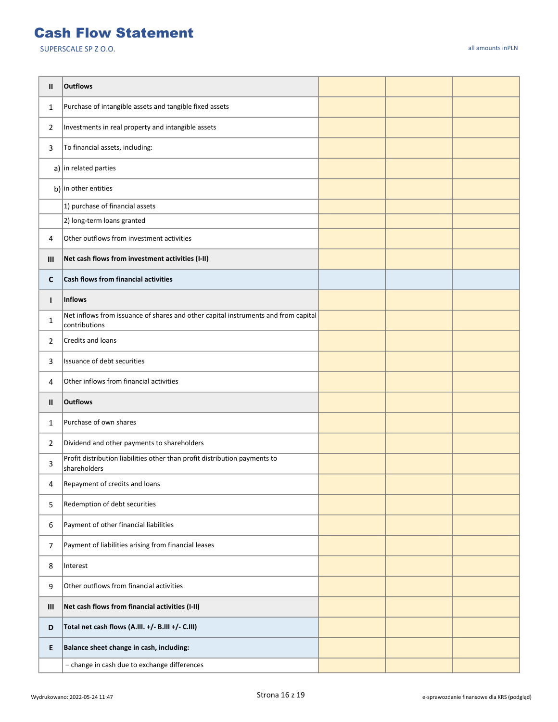#### Cash Flow Statement

| Ш            | <b>Outflows</b>                                                                                     |  |  |
|--------------|-----------------------------------------------------------------------------------------------------|--|--|
| $\mathbf{1}$ | Purchase of intangible assets and tangible fixed assets                                             |  |  |
| 2            | Investments in real property and intangible assets                                                  |  |  |
| 3            | To financial assets, including:                                                                     |  |  |
|              | a) in related parties                                                                               |  |  |
|              | b) in other entities                                                                                |  |  |
|              | 1) purchase of financial assets                                                                     |  |  |
|              | 2) long-term loans granted                                                                          |  |  |
| 4            | Other outflows from investment activities                                                           |  |  |
| Ш            | Net cash flows from investment activities (I-II)                                                    |  |  |
| C            | Cash flows from financial activities                                                                |  |  |
| L            | Inflows                                                                                             |  |  |
| 1            | Net inflows from issuance of shares and other capital instruments and from capital<br>contributions |  |  |
| 2            | Credits and loans                                                                                   |  |  |
| 3            | Issuance of debt securities                                                                         |  |  |
| 4            | Other inflows from financial activities                                                             |  |  |
| Ш            | <b>Outflows</b>                                                                                     |  |  |
| $\mathbf{1}$ | Purchase of own shares                                                                              |  |  |
| 2            | Dividend and other payments to shareholders                                                         |  |  |
| 3            | Profit distribution liabilities other than profit distribution payments to<br>shareholders          |  |  |
| 4            | Repayment of credits and loans                                                                      |  |  |
| 5            | Redemption of debt securities                                                                       |  |  |
| 6            | Payment of other financial liabilities                                                              |  |  |
| 7            | Payment of liabilities arising from financial leases                                                |  |  |
| 8            | Interest                                                                                            |  |  |
| 9            | Other outflows from financial activities                                                            |  |  |
| Ш            | Net cash flows from financial activities (I-II)                                                     |  |  |
| D            | Total net cash flows (A.III. +/- B.III +/- C.III)                                                   |  |  |
| E.           | Balance sheet change in cash, including:                                                            |  |  |
|              | - change in cash due to exchange differences                                                        |  |  |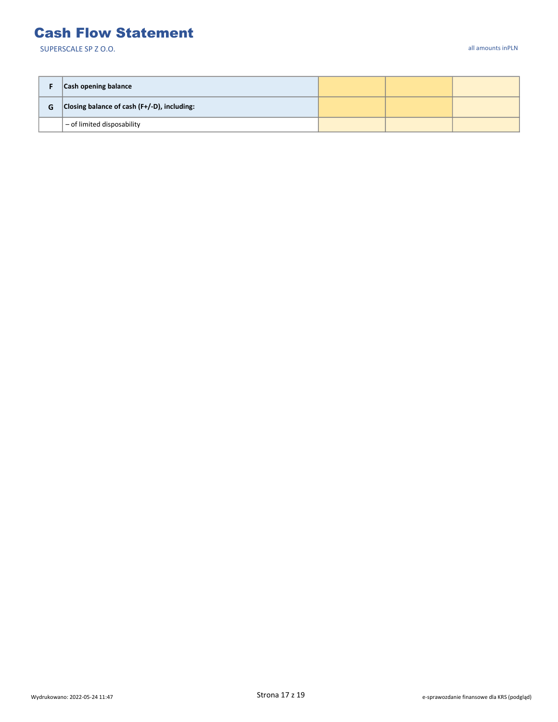#### Cash Flow Statement

|   | Cash opening balance                           |  |  |
|---|------------------------------------------------|--|--|
| G | Closing balance of cash $(F+/-D)$ , including: |  |  |
|   | $-$ of limited disposability                   |  |  |